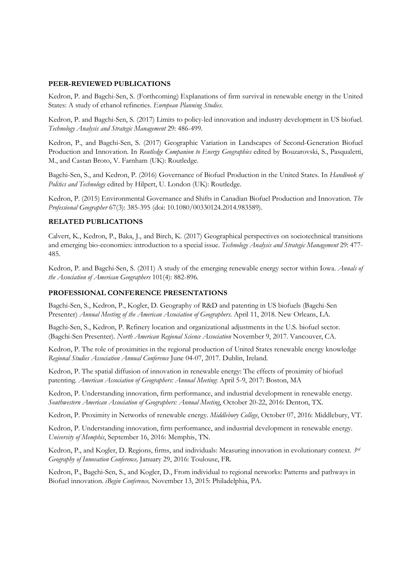## PEER-REVIEWED PUBLICATIONS

Kedron, P. and Bagchi-Sen, S. (Forthcoming) Explanations of firm survival in renewable energy in the United States: A study of ethanol refineries. European Planning Studies.

Kedron, P. and Bagchi-Sen, S. (2017) Limits to policy-led innovation and industry development in US biofuel. Technology Analysis and Strategic Management 29: 486-499.

Kedron, P., and Bagchi-Sen, S. (2017) Geographic Variation in Landscapes of Second-Generation Biofuel Production and Innovation. In Routledge Companion to Energy Geographies edited by Bouzarovski, S., Pasqualetti, M., and Castan Broto, V. Farnham (UK): Routledge.

Bagchi-Sen, S., and Kedron, P. (2016) Governance of Biofuel Production in the United States. In Handbook of Politics and Technology edited by Hilpert, U. London (UK): Routledge.

Kedron, P. (2015) Environmental Governance and Shifts in Canadian Biofuel Production and Innovation. The Professional Geographer 67(3): 385-395 (doi: 10.1080/00330124.2014.983589).

## RELATED PUBLICATIONS

Calvert, K., Kedron, P., Baka, J., and Birch, K. (2017) Geographical perspectives on sociotechnical transitions and emerging bio-economies: introduction to a special issue. Technology Analysis and Strategic Management 29: 477-485.

Kedron, P. and Bagchi-Sen, S. (2011) A study of the emerging renewable energy sector within Iowa. Annals of the Association of American Geographers 101(4): 882-896.

## PROFESSIONAL CONFERENCE PRESENTATIONS

Bagchi-Sen, S., Kedron, P., Kogler, D. Geography of R&D and patenting in US biofuels (Bagchi-Sen Presenter) Annual Meeting of the American Association of Geographers. April 11, 2018. New Orleans, LA.

Bagchi-Sen, S., Kedron, P. Refinery location and organizational adjustments in the U.S. biofuel sector. (Bagchi-Sen Presenter). North American Regional Science Association November 9, 2017. Vancouver, CA.

Kedron, P. The role of proximities in the regional production of United States renewable energy knowledge Regional Studies Association Annual Conference June 04-07, 2017. Dublin, Ireland.

Kedron, P. The spatial diffusion of innovation in renewable energy: The effects of proximity of biofuel patenting. American Association of Geographers: Annual Meeting: April 5-9, 2017: Boston, MA

Kedron, P. Understanding innovation, firm performance, and industrial development in renewable energy. Southwestern American Association of Geographers: Annual Meeting, October 20-22, 2016: Denton, TX.

Kedron, P. Proximity in Networks of renewable energy. Middlebury College, October 07, 2016: Middlebury, VT.

Kedron, P. Understanding innovation, firm performance, and industrial development in renewable energy. University of Memphis, September 16, 2016: Memphis, TN.

Kedron, P., and Kogler, D. Regions, firms, and individuals: Measuring innovation in evolutionary context.  $3^{rd}$ Geography of Innovation Conference, January 29, 2016: Toulouse, FR.

Kedron, P., Bagchi-Sen, S., and Kogler, D., From individual to regional networks: Patterns and pathways in Biofuel innovation. iBegin Conference, November 13, 2015: Philadelphia, PA.